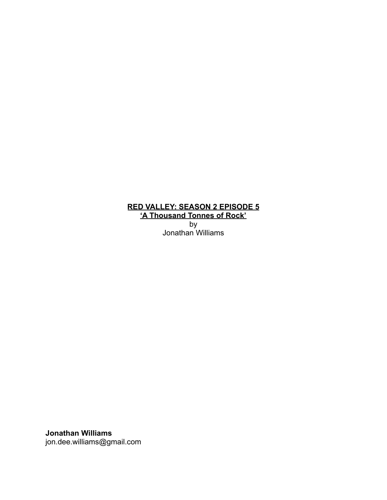## **RED VALLEY: SEASON 2 EPISODE 5 'A Thousand Tonnes of Rock'** by

Jonathan Williams

**Jonathan Williams** jon.dee.williams@gmail.com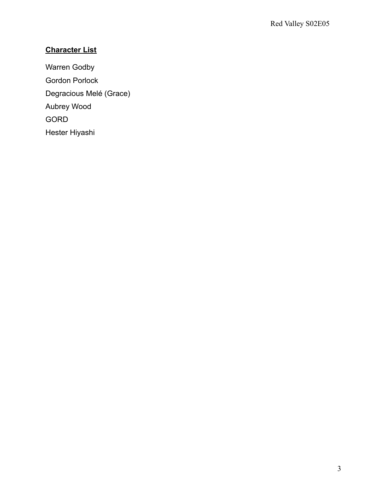# **Character List**

Warren Godby Gordon Porlock Degracious Melé (Grace) Aubrey Wood GORD Hester Hiyashi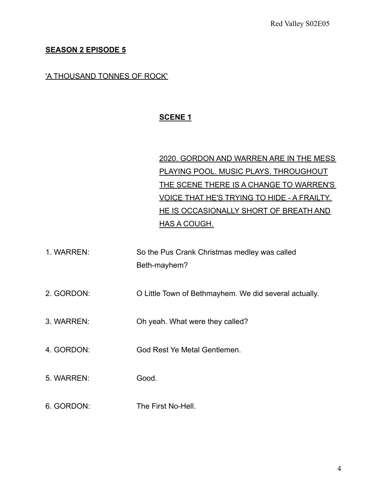### **SEASON 2 EPISODE 5**

#### 'A THOUSAND TONNES OF ROCK'

## **SCENE 1**

# 2020. GORDON AND WARREN ARE IN THE MESS PLAYING POOL. MUSIC PLAYS. THROUGHOUT THE SCENE THERE IS A CHANGE TO WARREN'S VOICE THAT HE'S TRYING TO HIDE - A FRAILTY. HE IS OCCASIONALLY SHORT OF BREATH AND HAS A COUGH.

- 1. WARREN: So the Pus Crank Christmas medley was called Beth-mayhem?
- 2. GORDON: O Little Town of Bethmayhem. We did several actually.
- 3. WARREN: Oh yeah. What were they called?
- 4. GORDON: God Rest Ye Metal Gentlemen.
- 5. WARREN: Good.
- 6. GORDON: The First No-Hell.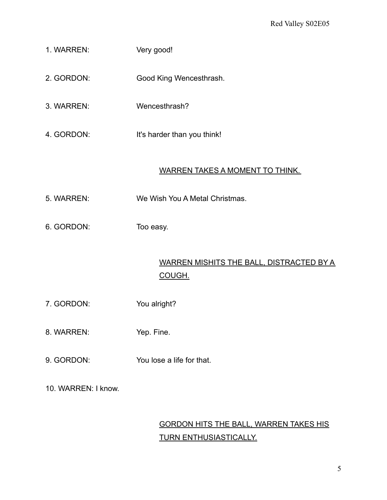- 1. WARREN: Very good!
- 2. GORDON: Good King Wencesthrash.
- 3. WARREN: Wencesthrash?
- 4. GORDON: It's harder than you think!

## WARREN TAKES A MOMENT TO THINK.

- 5. WARREN: We Wish You A Metal Christmas.
- 6. GORDON: Too easy.

# WARREN MISHITS THE BALL, DISTRACTED BY A COUGH.

- 7. GORDON: You alright?
- 8. WARREN: Yep. Fine.
- 9. GORDON: You lose a life for that.
- 10. WARREN: I know.

# GORDON HITS THE BALL, WARREN TAKES HIS TURN ENTHUSIASTICALLY.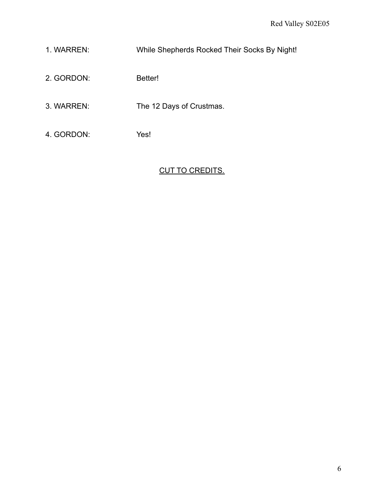- 1. WARREN: While Shepherds Rocked Their Socks By Night!
- 2. GORDON: Better!
- 3. WARREN: The 12 Days of Crustmas.
- 4. GORDON: Yes!

## CUT TO CREDITS.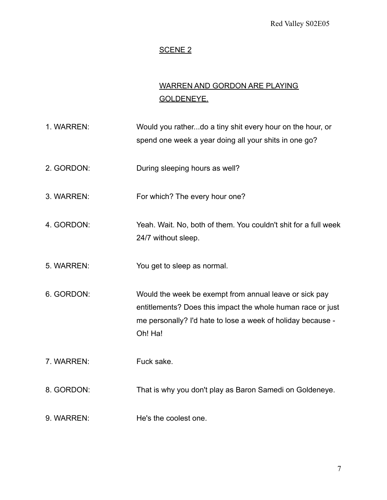## SCENE<sub>2</sub>

# WARREN AND GORDON ARE PLAYING GOLDENEYE.

1. WARREN: Would you rather...do a tiny shit every hour on the hour, or spend one week a year doing all your shits in one go? 2. GORDON: During sleeping hours as well? 3. WARREN: For which? The every hour one? 4. GORDON: Yeah. Wait. No, both of them. You couldn't shit for a full week 24/7 without sleep. 5. WARREN: You get to sleep as normal. 6. GORDON: Would the week be exempt from annual leave or sick pay entitlements? Does this impact the whole human race or just me personally? I'd hate to lose a week of holiday because - Oh! Ha! 7. WARREN: Fuck sake. 8. GORDON: That is why you don't play as Baron Samedi on Goldeneye. 9. WARREN: He's the coolest one.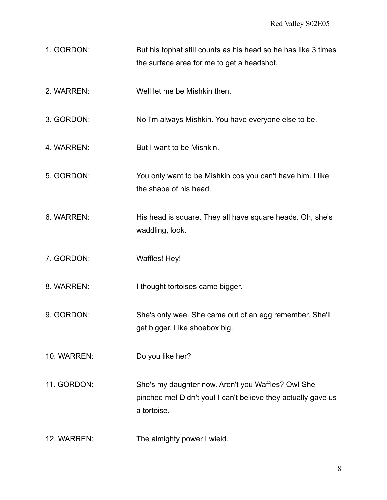- 1. GORDON: But his tophat still counts as his head so he has like 3 times the surface area for me to get a headshot.
- 2. WARREN: Well let me be Mishkin then.
- 3. GORDON: No I'm always Mishkin. You have everyone else to be.
- 4. WARREN: But I want to be Mishkin.
- 5. GORDON: You only want to be Mishkin cos you can't have him. I like the shape of his head.
- 6. WARREN: His head is square. They all have square heads. Oh, she's waddling, look.
- 7. GORDON: Waffles! Hey!

8. WARREN: I thought tortoises came bigger.

- 9. GORDON: She's only wee. She came out of an egg remember. She'll get bigger. Like shoebox big.
- 10. WARREN: Do you like her?
- 11. GORDON: She's my daughter now. Aren't you Waffles? Ow! She pinched me! Didn't you! I can't believe they actually gave us a tortoise.
- 12. WARREN: The almighty power I wield.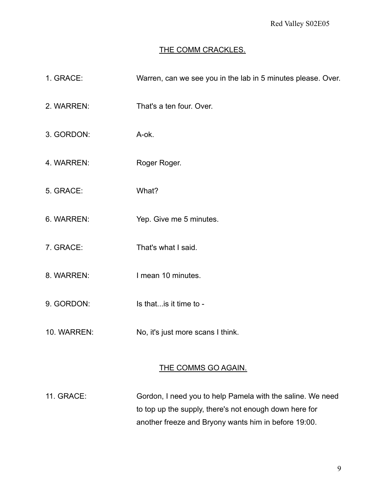### THE COMM CRACKLES.

1. GRACE: Warren, can we see you in the lab in 5 minutes please. Over. 2. WARREN: That's a ten four. Over. 3. GORDON: A-ok. 4. WARREN: Roger Roger. 5. GRACE: What? 6. WARREN: Yep. Give me 5 minutes. 7. GRACE: That's what I said. 8. WARREN: I mean 10 minutes. 9. GORDON: Is that... is it time to -10. WARREN: No, it's just more scans I think.

## THE COMMS GO AGAIN.

11. GRACE: Gordon, I need you to help Pamela with the saline. We need to top up the supply, there's not enough down here for another freeze and Bryony wants him in before 19:00.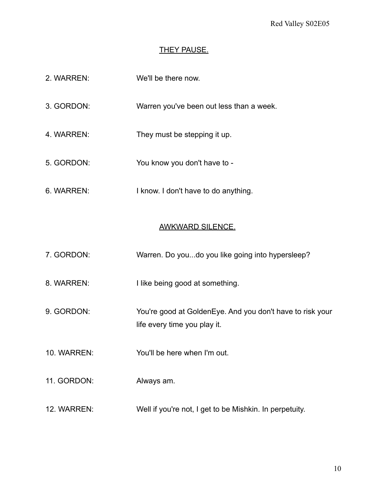#### **THEY PAUSE.**

- 2. WARREN: We'll be there now.
- 3. GORDON: Warren you've been out less than a week.
- 4. WARREN: They must be stepping it up.
- 5. GORDON: You know you don't have to -
- 6. WARREN: I know. I don't have to do anything.

#### AWKWARD SILENCE.

- 7. GORDON: Warren. Do you...do you like going into hypersleep?
- 8. WARREN: I like being good at something.
- 9. GORDON: You're good at GoldenEye. And you don't have to risk your life every time you play it.
- 10. WARREN: You'll be here when I'm out.
- 11. GORDON: Always am.
- 12. WARREN: Well if you're not, I get to be Mishkin. In perpetuity.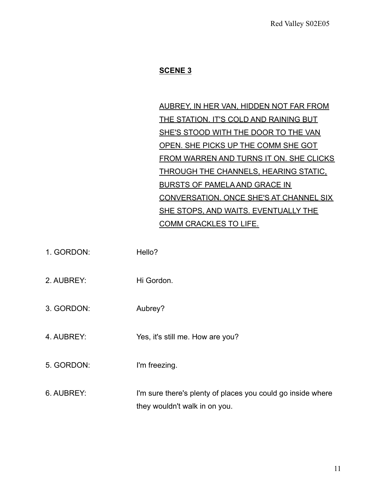## **SCENE 3**

AUBREY, IN HER VAN, HIDDEN NOT FAR FROM THE STATION. IT'S COLD AND RAINING BUT SHE'S STOOD WITH THE DOOR TO THE VAN OPEN. SHE PICKS UP THE COMM SHE GOT FROM WARREN AND TURNS IT ON. SHE CLICKS THROUGH THE CHANNELS, HEARING STATIC, BURSTS OF PAMELA AND GRACE IN CONVERSATION. ONCE SHE'S AT CHANNEL SIX SHE STOPS, AND WAITS. EVENTUALLY THE COMM CRACKLES TO LIFE.

1. GORDON: Hello? 2. AUBREY: Hi Gordon. 3. GORDON: Aubrey? 4. AUBREY: Yes, it's still me. How are you? 5. GORDON: I'm freezing. 6. AUBREY: I'm sure there's plenty of places you could go inside where they wouldn't walk in on you.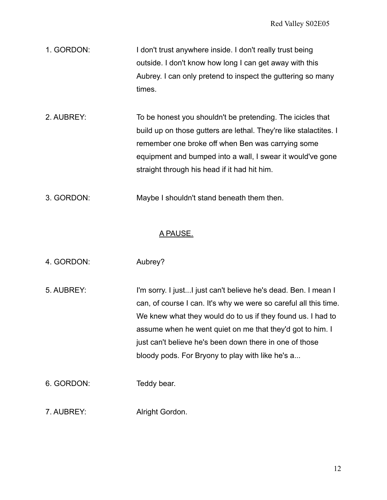- 1. GORDON: I don't trust anywhere inside. I don't really trust being outside. I don't know how long I can get away with this Aubrey. I can only pretend to inspect the guttering so many times.
- 2. AUBREY: To be honest you shouldn't be pretending. The icicles that build up on those gutters are lethal. They're like stalactites. I remember one broke off when Ben was carrying some equipment and bumped into a wall, I swear it would've gone straight through his head if it had hit him.
- 3. GORDON: Maybe I shouldn't stand beneath them then.

### A PAUSE.

- 4. GORDON: Aubrey?
- 5. AUBREY: I'm sorry. I just...I just can't believe he's dead. Ben. I mean I can, of course I can. It's why we were so careful all this time. We knew what they would do to us if they found us. I had to assume when he went quiet on me that they'd got to him. I just can't believe he's been down there in one of those bloody pods. For Bryony to play with like he's a...
- 6. GORDON: Teddy bear.
- 7. AUBREY: Alright Gordon.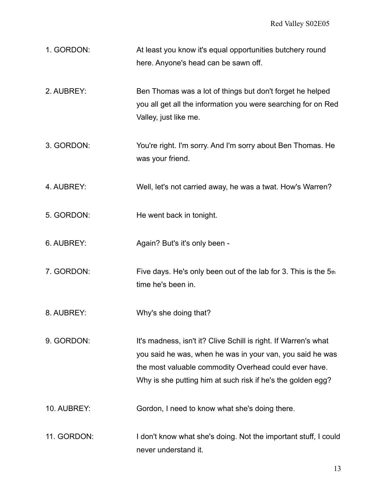| 1. GORDON: | At least you know it's equal opportunities butchery round |
|------------|-----------------------------------------------------------|
|            | here. Anyone's head can be sawn off.                      |

- 2. AUBREY: Ben Thomas was a lot of things but don't forget he helped you all get all the information you were searching for on Red Valley, just like me.
- 3. GORDON: You're right. I'm sorry. And I'm sorry about Ben Thomas. He was your friend.
- 4. AUBREY: Well, let's not carried away, he was a twat. How's Warren?
- 5. GORDON: He went back in tonight.
- 6. AUBREY: Again? But's it's only been -
- 7. GORDON: Five days. He's only been out of the lab for 3. This is the 5th time he's been in.
- 8. AUBREY: Why's she doing that?
- 9. GORDON: It's madness, isn't it? Clive Schill is right. If Warren's what you said he was, when he was in your van, you said he was the most valuable commodity Overhead could ever have. Why is she putting him at such risk if he's the golden egg?
- 10. AUBREY: Gordon, I need to know what she's doing there.
- 11. GORDON: I don't know what she's doing. Not the important stuff, I could never understand it.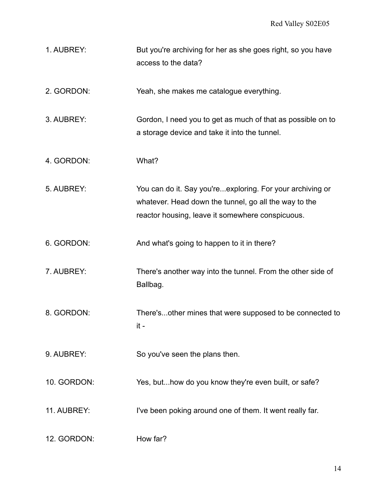1. AUBREY: But you're archiving for her as she goes right, so you have access to the data?

2. GORDON: Yeah, she makes me catalogue everything.

3. AUBREY: Gordon, I need you to get as much of that as possible on to a storage device and take it into the tunnel.

4. GORDON: What?

5. AUBREY: You can do it. Say you're...exploring. For your archiving or whatever. Head down the tunnel, go all the way to the reactor housing, leave it somewhere conspicuous.

6. GORDON: And what's going to happen to it in there?

- 7. AUBREY: There's another way into the tunnel. From the other side of Ballbag.
- 8. GORDON: There's...other mines that were supposed to be connected to it -

9. AUBREY: So you've seen the plans then.

10. GORDON: Yes, but...how do you know they're even built, or safe?

- 11. AUBREY: I've been poking around one of them. It went really far.
- 12. GORDON: How far?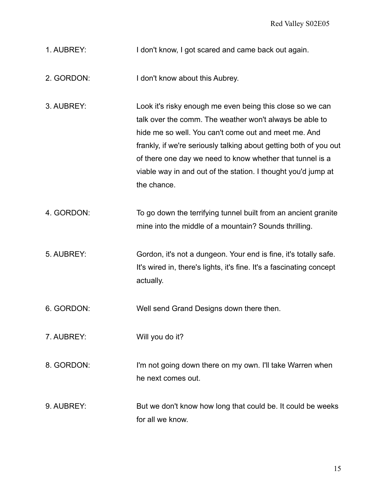- 1. AUBREY: I don't know, I got scared and came back out again.
- 2. GORDON: I don't know about this Aubrey.
- 3. AUBREY: Look it's risky enough me even being this close so we can talk over the comm. The weather won't always be able to hide me so well. You can't come out and meet me. And frankly, if we're seriously talking about getting both of you out of there one day we need to know whether that tunnel is a viable way in and out of the station. I thought you'd jump at the chance.
- 4. GORDON: To go down the terrifying tunnel built from an ancient granite mine into the middle of a mountain? Sounds thrilling.
- 5. AUBREY: Gordon, it's not a dungeon. Your end is fine, it's totally safe. It's wired in, there's lights, it's fine. It's a fascinating concept actually.
- 6. GORDON: Well send Grand Designs down there then.
- 7. AUBREY: Will you do it?
- 8. GORDON: I'm not going down there on my own. I'll take Warren when he next comes out.
- 9. AUBREY: But we don't know how long that could be. It could be weeks for all we know.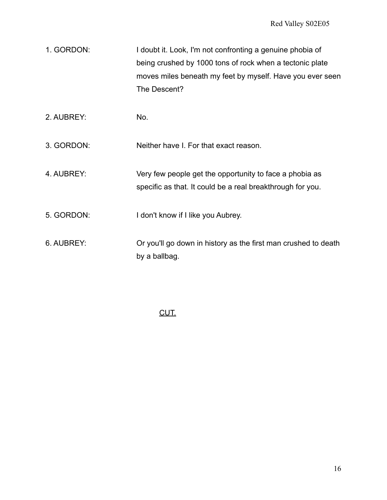| 1. GORDON: | I doubt it. Look, I'm not confronting a genuine phobia of |
|------------|-----------------------------------------------------------|
|            | being crushed by 1000 tons of rock when a tectonic plate  |
|            | moves miles beneath my feet by myself. Have you ever seen |
|            | The Descent?                                              |

2. AUBREY: No.

3. GORDON: Neither have I. For that exact reason.

4. AUBREY: Very few people get the opportunity to face a phobia as specific as that. It could be a real breakthrough for you.

- 5. GORDON: I don't know if I like you Aubrey.
- 6. AUBREY: Or you'll go down in history as the first man crushed to death by a ballbag.

CUT.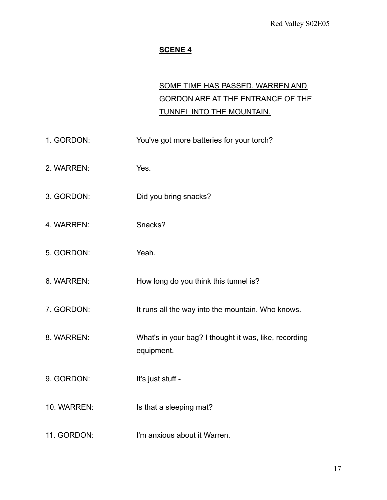## **SCENE 4**

# SOME TIME HAS PASSED. WARREN AND GORDON ARE AT THE ENTRANCE OF THE TUNNEL INTO THE MOUNTAIN.

| 1. GORDON:  | You've got more batteries for your torch?                           |
|-------------|---------------------------------------------------------------------|
| 2. WARREN:  | Yes.                                                                |
| 3. GORDON:  | Did you bring snacks?                                               |
| 4. WARREN:  | Snacks?                                                             |
| 5. GORDON:  | Yeah.                                                               |
| 6. WARREN:  | How long do you think this tunnel is?                               |
| 7. GORDON:  | It runs all the way into the mountain. Who knows.                   |
| 8. WARREN:  | What's in your bag? I thought it was, like, recording<br>equipment. |
| 9. GORDON:  | It's just stuff -                                                   |
| 10. WARREN: | Is that a sleeping mat?                                             |
| 11. GORDON: | I'm anxious about it Warren.                                        |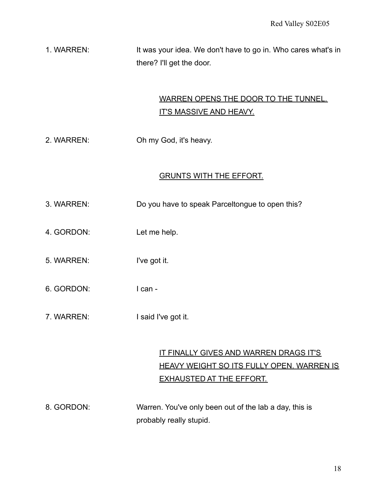1. WARREN: It was your idea. We don't have to go in. Who cares what's in there? I'll get the door.

# WARREN OPENS THE DOOR TO THE TUNNEL. **IT'S MASSIVE AND HEAVY.**

2. WARREN: Oh my God, it's heavy.

## GRUNTS WITH THE EFFORT.

- 3. WARREN: Do you have to speak Parceltongue to open this?
- 4. GORDON: Let me help.
- 5. WARREN: I've got it.
- 6. GORDON: I can -
- 7. WARREN: I said I've got it.

# IT FINALLY GIVES AND WARREN DRAGS IT'S HEAVY WEIGHT SO ITS FULLY OPEN. WARREN IS EXHAUSTED AT THE EFFORT.

8. GORDON: Warren. You've only been out of the lab a day, this is probably really stupid.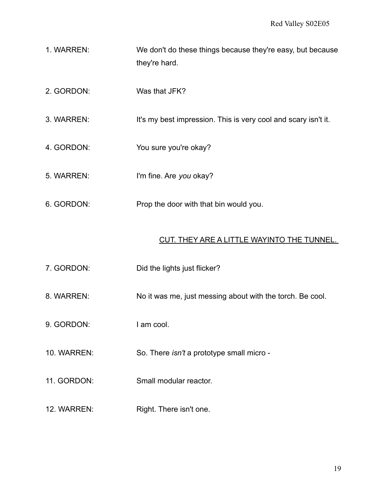- 1. WARREN: We don't do these things because they're easy, but because they're hard.
- 2. GORDON: Was that JFK?
- 3. WARREN: It's my best impression. This is very cool and scary isn't it.
- 4. GORDON: You sure you're okay?
- 5. WARREN: I'm fine. Are *you* okay?
- 6. GORDON: Prop the door with that bin would you.

#### CUT. THEY ARE A LITTLE WAYINTO THE TUNNEL.

- 7. GORDON: Did the lights just flicker?
- 8. WARREN: No it was me, just messing about with the torch. Be cool.
- 9. GORDON: I am cool.
- 10. WARREN: So. There *isn't* a prototype small micro -
- 11. GORDON: Small modular reactor.
- 12. WARREN: Right. There isn't one.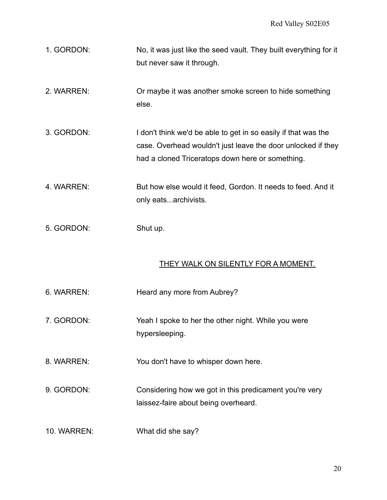- 1. GORDON: No, it was just like the seed vault. They built everything for it but never saw it through.
- 2. WARREN: Or maybe it was another smoke screen to hide something else.
- 3. GORDON: I don't think we'd be able to get in so easily if that was the case. Overhead wouldn't just leave the door unlocked if they had a cloned Triceratops down here or something.
- 4. WARREN: But how else would it feed, Gordon. It needs to feed. And it only eats...archivists.
- 5. GORDON: Shut up.

#### THEY WALK ON SILENTLY FOR A MOMENT.

6. WARREN: Heard any more from Aubrey? 7. GORDON: Yeah I spoke to her the other night. While you were hypersleeping. 8. WARREN: You don't have to whisper down here. 9. GORDON: Considering how we got in this predicament you're very laissez-faire about being overheard. 10. WARREN: What did she say?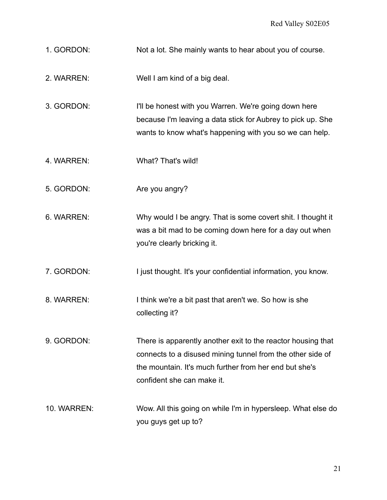- 1. GORDON: Not a lot. She mainly wants to hear about you of course.
- 2. WARREN: Well I am kind of a big deal.
- 3. GORDON: I'll be honest with you Warren. We're going down here because I'm leaving a data stick for Aubrey to pick up. She wants to know what's happening with you so we can help.
- 4. WARREN: What? That's wild!
- 5. GORDON: Are you angry?
- 6. WARREN: Why would I be angry. That is some covert shit. I thought it was a bit mad to be coming down here for a day out when you're clearly bricking it.
- 7. GORDON: I just thought. It's your confidential information, you know.
- 8. WARREN: I think we're a bit past that aren't we. So how is she collecting it?
- 9. GORDON: There is apparently another exit to the reactor housing that connects to a disused mining tunnel from the other side of the mountain. It's much further from her end but she's confident she can make it.
- 10. WARREN: Wow. All this going on while I'm in hypersleep. What else do you guys get up to?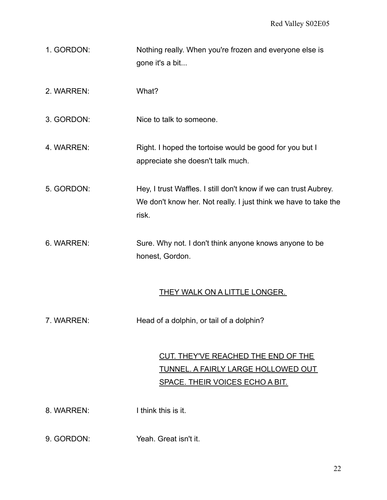- 1. GORDON: Nothing really. When you're frozen and everyone else is gone it's a bit...
- 2. WARREN: What?

3. GORDON: Nice to talk to someone.

- 4. WARREN: Right. I hoped the tortoise would be good for you but I appreciate she doesn't talk much.
- 5. GORDON: Hey, I trust Waffles. I still don't know if we can trust Aubrey. We don't know her. Not really. I just think we have to take the risk.
- 6. WARREN: Sure. Why not. I don't think anyone knows anyone to be honest, Gordon.

#### THEY WALK ON A LITTLE LONGER.

7. WARREN: Head of a dolphin, or tail of a dolphin?

# CUT. THEY'VE REACHED THE END OF THE TUNNEL. A FAIRLY LARGE HOLLOWED OUT SPACE. THEIR VOICES ECHO A BIT.

- 8. WARREN: I think this is it.
- 9. GORDON: Yeah. Great isn't it.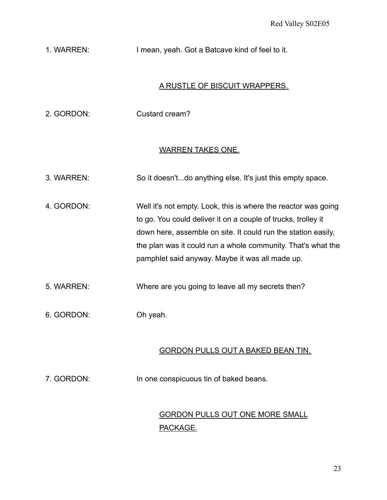## 1. WARREN: I mean, yeah. Got a Batcave kind of feel to it.

### A RUSTLE OF BISCUIT WRAPPERS.

| 2. GORDON: | Custard cream? |
|------------|----------------|
|            |                |

#### WARREN TAKES ONE.

- 3. WARREN: So it doesn't...do anything else. It's just this empty space.
- 4. GORDON: Well it's not empty. Look, this is where the reactor was going to go. You could deliver it on a couple of trucks, trolley it down here, assemble on site. It could run the station easily, the plan was it could run a whole community. That's what the pamphlet said anyway. Maybe it was all made up.
- 5. WARREN: Where are you going to leave all my secrets then?
- 6. GORDON: Oh yeah.

#### GORDON PULLS OUT A BAKED BEAN TIN.

7. GORDON: In one conspicuous tin of baked beans.

## GORDON PULLS OUT ONE MORE SMALL PACKAGE.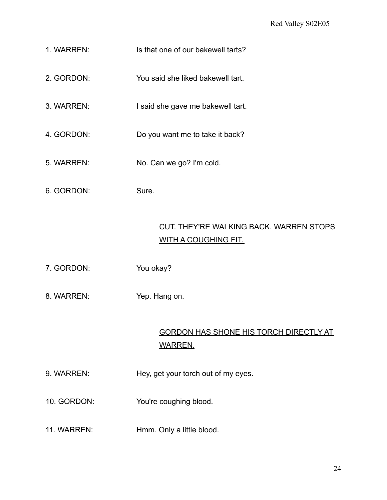- 1. WARREN: Is that one of our bakewell tarts?
- 2. GORDON: You said she liked bakewell tart.
- 3. WARREN: I said she gave me bakewell tart.
- 4. GORDON: Do you want me to take it back?
- 5. WARREN: No. Can we go? I'm cold.
- 6. GORDON: Sure.

## CUT. THEY'RE WALKING BACK. WARREN STOPS WITH A COUGHING FIT.

- 7. GORDON: You okay?
- 8. WARREN: Yep. Hang on.

# GORDON HAS SHONE HIS TORCH DIRECTLY AT WARREN.

- 9. WARREN: Hey, get your torch out of my eyes.
- 10. GORDON: You're coughing blood.
- 11. WARREN: Hmm. Only a little blood.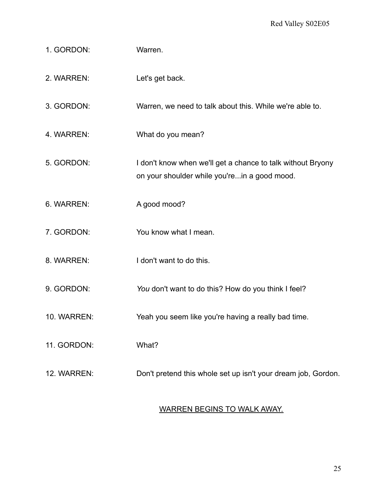- 1. GORDON: Warren.
- 2. WARREN: Let's get back.
- 3. GORDON: Warren, we need to talk about this. While we're able to.
- 4. WARREN: What do you mean?
- 5. GORDON: I don't know when we'll get a chance to talk without Bryony on your shoulder while you're...in a good mood.
- 6. WARREN: A good mood?
- 7. GORDON: You know what I mean.
- 8. WARREN: I don't want to do this.
- 9. GORDON: *You* don't want to do this? How do you think I feel?
- 10. WARREN: Yeah you seem like you're having a really bad time.
- 11. GORDON: What?
- 12. WARREN: Don't pretend this whole set up isn't your dream job, Gordon.

#### WARREN BEGINS TO WALK AWAY.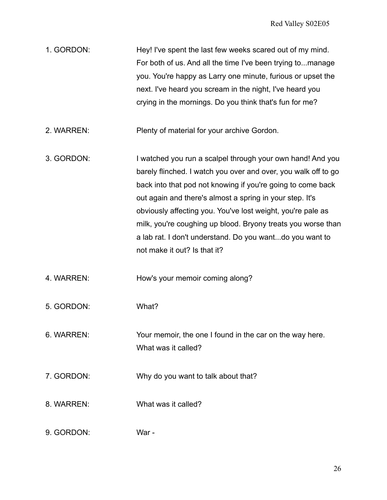| 1. GORDON: | Hey! I've spent the last few weeks scared out of my mind.   |
|------------|-------------------------------------------------------------|
|            | For both of us. And all the time I've been trying tomanage  |
|            | you. You're happy as Larry one minute, furious or upset the |
|            | next. I've heard you scream in the night, I've heard you    |
|            | crying in the mornings. Do you think that's fun for me?     |

- 2. WARREN: Plenty of material for your archive Gordon.
- 3. GORDON: I watched you run a scalpel through your own hand! And you barely flinched. I watch you over and over, you walk off to go back into that pod not knowing if you're going to come back out again and there's almost a spring in your step. It's obviously affecting you. You've lost weight, you're pale as milk, you're coughing up blood. Bryony treats you worse than a lab rat. I don't understand. Do you want...do you want to not make it out? Is that it?
- 4. WARREN: How's your memoir coming along?
- 5. GORDON: What?
- 6. WARREN: Your memoir, the one I found in the car on the way here. What was it called?
- 7. GORDON: Why do you want to talk about that?
- 8. WARREN: What was it called?
- 9. GORDON: War -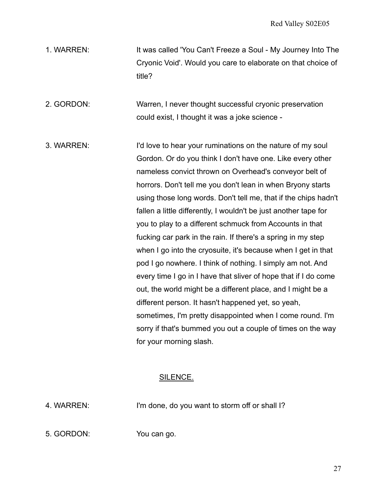1. WARREN: It was called 'You Can't Freeze a Soul - My Journey Into The Cryonic Void'. Would you care to elaborate on that choice of title?

2. GORDON: Warren, I never thought successful cryonic preservation could exist, I thought it was a joke science -

3. WARREN: I'd love to hear your ruminations on the nature of my soul Gordon. Or do you think I don't have one. Like every other nameless convict thrown on Overhead's conveyor belt of horrors. Don't tell me you don't lean in when Bryony starts using those long words. Don't tell me, that if the chips hadn't fallen a little differently, I wouldn't be just another tape for you to play to a different schmuck from Accounts in that fucking car park in the rain. If there's a spring in my step when I go into the cryosuite, it's because when I get in that pod I go nowhere. I think of nothing. I simply am not. And every time I go in I have that sliver of hope that if I do come out, the world might be a different place, and I might be a different person. It hasn't happened yet, so yeah, sometimes, I'm pretty disappointed when I come round. I'm sorry if that's bummed you out a couple of times on the way for your morning slash.

## SILENCE.

4. WARREN: I'm done, do you want to storm off or shall I?

5. GORDON: You can go.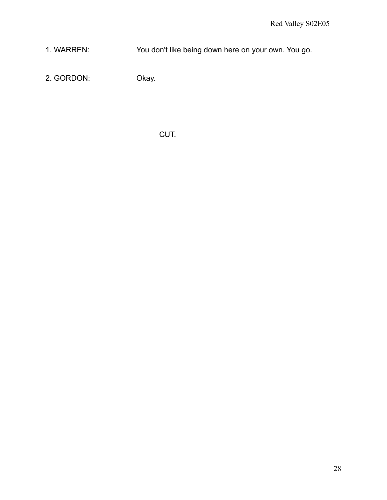1. WARREN: You don't like being down here on your own. You go.

2. GORDON: Okay.

CUT.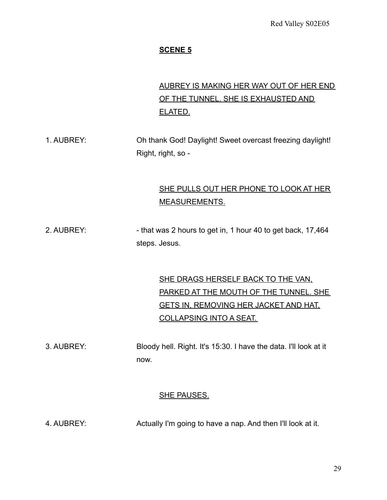## **SCENE 5**

# AUBREY IS MAKING HER WAY OUT OF HER END OF THE TUNNEL. SHE IS EXHAUSTED AND ELATED.

1. AUBREY: Oh thank God! Daylight! Sweet overcast freezing daylight! Right, right, so -

## SHE PULLS OUT HER PHONE TO LOOK AT HER MEASUREMENTS.

2. AUBREY:  $\blacksquare$  - that was 2 hours to get in, 1 hour 40 to get back, 17,464 steps. Jesus.

> SHE DRAGS HERSELF BACK TO THE VAN, PARKED AT THE MOUTH OF THE TUNNEL. SHE GETS IN, REMOVING HER JACKET AND HAT, COLLAPSING INTO A SEAT.

3. AUBREY: Bloody hell. Right. It's 15:30. I have the data. I'll look at it now.

#### SHE PAUSES.

4. AUBREY: Actually I'm going to have a nap. And then I'll look at it.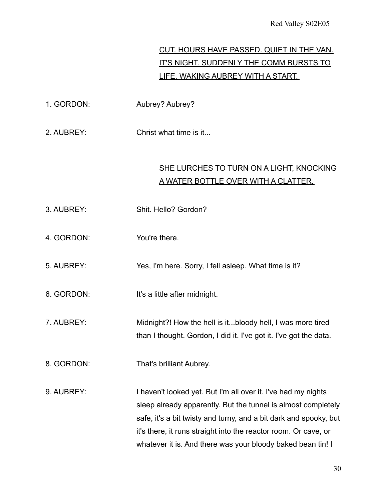# CUT. HOURS HAVE PASSED. QUIET IN THE VAN. IT'S NIGHT. SUDDENLY THE COMM BURSTS TO LIFE, WAKING AUBREY WITH A START.

- 1. GORDON: Aubrey? Aubrey?
- 2. AUBREY: Christ what time is it...

# SHE LURCHES TO TURN ON A LIGHT, KNOCKING A WATER BOTTLE OVER WITH A CLATTER.

- 3. AUBREY: Shit. Hello? Gordon?
- 4. GORDON: You're there.
- 5. AUBREY: Yes, I'm here. Sorry, I fell asleep. What time is it?
- 6. GORDON: It's a little after midnight.
- 7. AUBREY: Midnight?! How the hell is it...bloody hell, I was more tired than I thought. Gordon, I did it. I've got it. I've got the data.
- 8. GORDON: That's brilliant Aubrey.
- 9. AUBREY: I haven't looked yet. But I'm all over it. I've had my nights sleep already apparently. But the tunnel is almost completely safe, it's a bit twisty and turny, and a bit dark and spooky, but it's there, it runs straight into the reactor room. Or cave, or whatever it is. And there was your bloody baked bean tin! I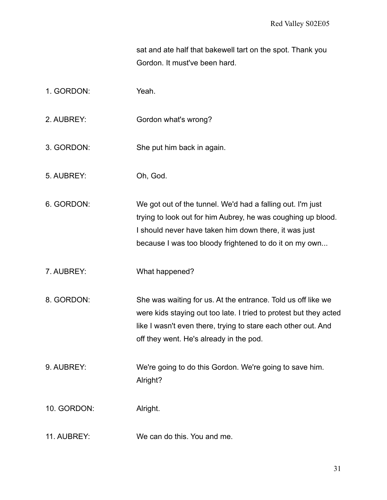sat and ate half that bakewell tart on the spot. Thank you Gordon. It must've been hard.

- 1. GORDON: Yeah.
- 2. AUBREY: Gordon what's wrong?
- 3. GORDON: She put him back in again.
- 5. AUBREY: Oh, God.

6. GORDON: We got out of the tunnel. We'd had a falling out. I'm just trying to look out for him Aubrey, he was coughing up blood. I should never have taken him down there, it was just because I was too bloody frightened to do it on my own...

- 7. AUBREY: What happened?
- 8. GORDON: She was waiting for us. At the entrance. Told us off like we were kids staying out too late. I tried to protest but they acted like I wasn't even there, trying to stare each other out. And off they went. He's already in the pod.
- 9. AUBREY: We're going to do this Gordon. We're going to save him. Alright?
- 10. GORDON: Alright.
- 11. AUBREY: We can do this. You and me.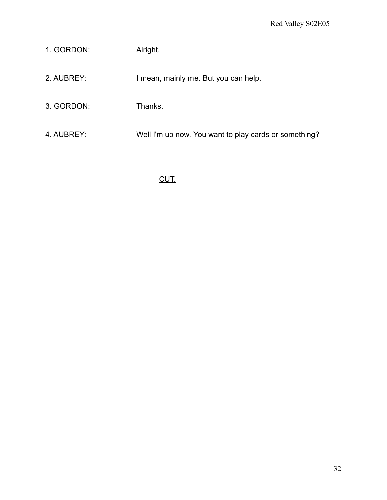| 1. GORDON: | Alright.                                              |
|------------|-------------------------------------------------------|
| 2. AUBREY: | I mean, mainly me. But you can help.                  |
| 3. GORDON: | Thanks.                                               |
| 4. AUBREY: | Well I'm up now. You want to play cards or something? |

# CUT.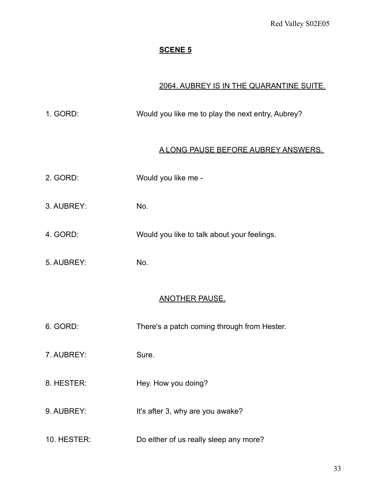# **SCENE 5**

## 2064. AUBREY IS IN THE QUARANTINE SUITE.

| 1. GORD:              | Would you like me to play the next entry, Aubrey? |
|-----------------------|---------------------------------------------------|
|                       | <u>A LONG PAUSE BEFORE AUBREY ANSWERS.</u>        |
| 2. GORD:              | Would you like me -                               |
| 3. AUBREY:            | No.                                               |
| 4. GORD:              | Would you like to talk about your feelings.       |
| 5. AUBREY:            | No.                                               |
| <u>ANOTHER PAUSE.</u> |                                                   |
| 6. GORD:              | There's a patch coming through from Hester.       |
| 7. AUBREY:            | Sure.                                             |
| 8. HESTER:            | Hey. How you doing?                               |
| 9. AUBREY:            | It's after 3, why are you awake?                  |
| 10. HESTER:           | Do either of us really sleep any more?            |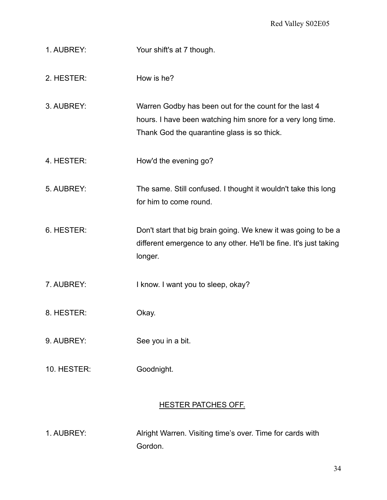- 1. AUBREY: Your shift's at 7 though.
- 2. HESTER: How is he?
- 3. AUBREY: Warren Godby has been out for the count for the last 4 hours. I have been watching him snore for a very long time. Thank God the quarantine glass is so thick.
- 4. HESTER: How'd the evening go?
- 5. AUBREY: The same. Still confused. I thought it wouldn't take this long for him to come round.
- 6. HESTER: Don't start that big brain going. We knew it was going to be a different emergence to any other. He'll be fine. It's just taking longer.
- 7. AUBREY: I know. I want you to sleep, okay?
- 8. HESTER: Okay.
- 9. AUBREY: See you in a bit.
- 10. HESTER: Goodnight.

## HESTER PATCHES OFF.

1. AUBREY: Alright Warren. Visiting time's over. Time for cards with Gordon.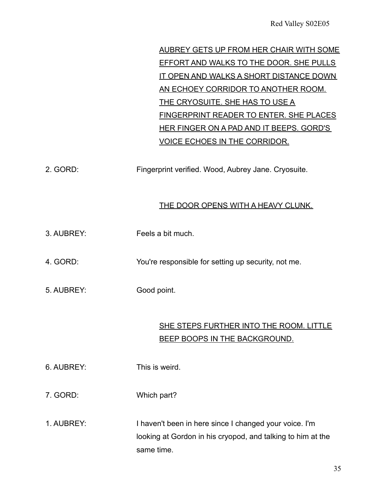AUBREY GETS UP FROM HER CHAIR WITH SOME EFFORT AND WALKS TO THE DOOR. SHE PULLS IT OPEN AND WALKS A SHORT DISTANCE DOWN AN ECHOEY CORRIDOR TO ANOTHER ROOM. THE CRYOSUITE. SHE HAS TO USE A FINGERPRINT READER TO ENTER. SHE PLACES HER FINGER ON A PAD AND IT BEEPS. GORD'S VOICE ECHOES IN THE CORRIDOR.

2. GORD: Fingerprint verified. Wood, Aubrey Jane. Cryosuite.

## THE DOOR OPENS WITH A HEAVY CLUNK.

- 3. AUBREY: Feels a bit much.
- 4. GORD: You're responsible for setting up security, not me.
- 5. AUBREY: Good point.

## SHE STEPS FURTHER INTO THE ROOM. LITTLE BEEP BOOPS IN THE BACKGROUND.

- 6. AUBREY: This is weird.
- 7. GORD: Which part?
- 1. AUBREY: I haven't been in here since I changed your voice. I'm looking at Gordon in his cryopod, and talking to him at the same time.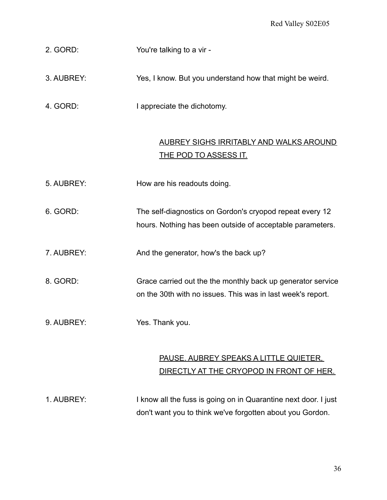2. GORD: You're talking to a vir -

3. AUBREY: Yes, I know. But you understand how that might be weird.

4. GORD: I appreciate the dichotomy.

## AUBREY SIGHS IRRITABLY AND WALKS AROUND THE POD TO ASSESS IT.

5. AUBREY: How are his readouts doing.

6. GORD: The self-diagnostics on Gordon's cryopod repeat every 12 hours. Nothing has been outside of acceptable parameters.

7. AUBREY: And the generator, how's the back up?

8. GORD: Grace carried out the the monthly back up generator service on the 30th with no issues. This was in last week's report.

9. AUBREY: Yes. Thank you.

# PAUSE. AUBREY SPEAKS A LITTLE QUIETER, DIRECTLY AT THE CRYOPOD IN FRONT OF HER.

1. AUBREY: I know all the fuss is going on in Quarantine next door. I just don't want you to think we've forgotten about you Gordon.